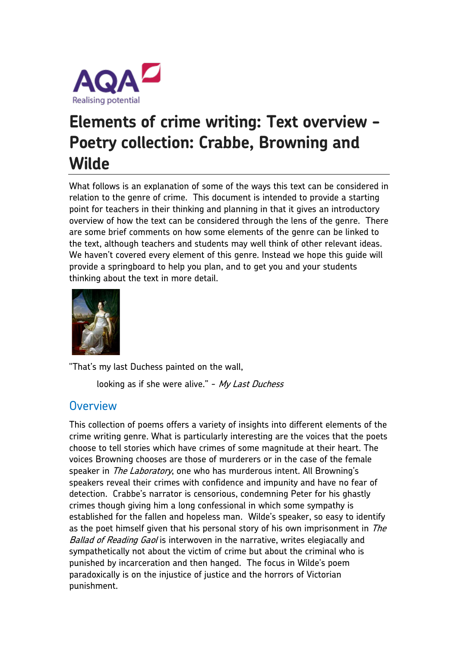

# **Elements of crime writing: Text overview - Poetry collection: Crabbe, Browning and Wilde**

What follows is an explanation of some of the ways this text can be considered in relation to the genre of crime. This document is intended to provide a starting point for teachers in their thinking and planning in that it gives an introductory overview of how the text can be considered through the lens of the genre. There are some brief comments on how some elements of the genre can be linked to the text, although teachers and students may well think of other relevant ideas. We haven't covered every element of this genre. Instead we hope this guide will provide a springboard to help you plan, and to get you and your students thinking about the text in more detail.



"That's my last Duchess painted on the wall,

looking as if she were alive." - My Last Duchess

## **Overview**

This collection of poems offers a variety of insights into different elements of the crime writing genre. What is particularly interesting are the voices that the poets choose to tell stories which have crimes of some magnitude at their heart. The voices Browning chooses are those of murderers or in the case of the female speaker in *The Laboratory*, one who has murderous intent. All Browning's speakers reveal their crimes with confidence and impunity and have no fear of detection. Crabbe's narrator is censorious, condemning Peter for his ghastly crimes though giving him a long confessional in which some sympathy is established for the fallen and hopeless man. Wilde's speaker, so easy to identify as the poet himself given that his personal story of his own imprisonment in The Ballad of Reading Gaol is interwoven in the narrative, writes elegiacally and sympathetically not about the victim of crime but about the criminal who is punished by incarceration and then hanged. The focus in Wilde's poem paradoxically is on the injustice of justice and the horrors of Victorian punishment.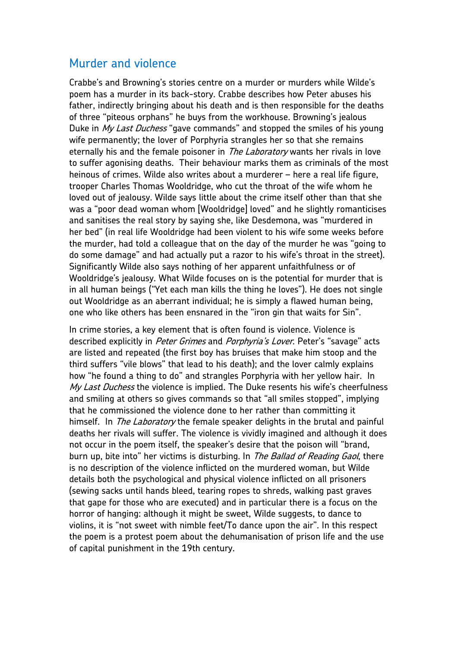### Murder and violence

Crabbe's and Browning's stories centre on a murder or murders while Wilde's poem has a murder in its back-story. Crabbe describes how Peter abuses his father, indirectly bringing about his death and is then responsible for the deaths of three "piteous orphans" he buys from the workhouse. Browning's jealous Duke in My Last Duchess "gave commands" and stopped the smiles of his young wife permanently; the lover of Porphyria strangles her so that she remains eternally his and the female poisoner in *The Laboratory* wants her rivals in love to suffer agonising deaths. Their behaviour marks them as criminals of the most heinous of crimes. Wilde also writes about a murderer – here a real life figure, trooper Charles Thomas Wooldridge, who cut the throat of the wife whom he loved out of jealousy. Wilde says little about the crime itself other than that she was a "poor dead woman whom [Wooldridge] loved" and he slightly romanticises and sanitises the real story by saying she, like Desdemona, was "murdered in her bed" (in real life Wooldridge had been violent to his wife some weeks before the murder, had told a colleague that on the day of the murder he was "going to do some damage" and had actually put a razor to his wife's throat in the street). Significantly Wilde also says nothing of her apparent unfaithfulness or of Wooldridge's jealousy. What Wilde focuses on is the potential for murder that is in all human beings ("Yet each man kills the thing he loves"). He does not single out Wooldridge as an aberrant individual; he is simply a flawed human being, one who like others has been ensnared in the "iron gin that waits for Sin".

In crime stories, a key element that is often found is violence. Violence is described explicitly in Peter Grimes and Porphyria's Lover. Peter's "savage" acts are listed and repeated (the first boy has bruises that make him stoop and the third suffers "vile blows" that lead to his death); and the lover calmly explains how "he found a thing to do" and strangles Porphyria with her yellow hair. In My Last Duchess the violence is implied. The Duke resents his wife's cheerfulness and smiling at others so gives commands so that "all smiles stopped", implying that he commissioned the violence done to her rather than committing it himself. In *The Laboratory* the female speaker delights in the brutal and painful deaths her rivals will suffer. The violence is vividly imagined and although it does not occur in the poem itself, the speaker's desire that the poison will "brand, burn up, bite into" her victims is disturbing. In The Ballad of Reading Gaol, there is no description of the violence inflicted on the murdered woman, but Wilde details both the psychological and physical violence inflicted on all prisoners (sewing sacks until hands bleed, tearing ropes to shreds, walking past graves that gape for those who are executed) and in particular there is a focus on the horror of hanging: although it might be sweet, Wilde suggests, to dance to violins, it is "not sweet with nimble feet/To dance upon the air". In this respect the poem is a protest poem about the dehumanisation of prison life and the use of capital punishment in the 19th century.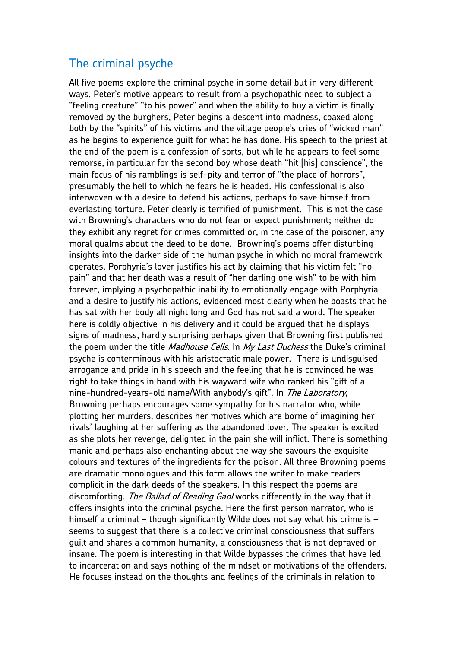## The criminal psyche

All five poems explore the criminal psyche in some detail but in very different ways. Peter's motive appears to result from a psychopathic need to subject a "feeling creature" "to his power" and when the ability to buy a victim is finally removed by the burghers, Peter begins a descent into madness, coaxed along both by the "spirits" of his victims and the village people's cries of "wicked man" as he begins to experience guilt for what he has done. His speech to the priest at the end of the poem is a confession of sorts, but while he appears to feel some remorse, in particular for the second boy whose death "hit [his] conscience", the main focus of his ramblings is self-pity and terror of "the place of horrors", presumably the hell to which he fears he is headed. His confessional is also interwoven with a desire to defend his actions, perhaps to save himself from everlasting torture. Peter clearly is terrified of punishment. This is not the case with Browning's characters who do not fear or expect punishment; neither do they exhibit any regret for crimes committed or, in the case of the poisoner, any moral qualms about the deed to be done. Browning's poems offer disturbing insights into the darker side of the human psyche in which no moral framework operates. Porphyria's lover justifies his act by claiming that his victim felt "no pain" and that her death was a result of "her darling one wish" to be with him forever, implying a psychopathic inability to emotionally engage with Porphyria and a desire to justify his actions, evidenced most clearly when he boasts that he has sat with her body all night long and God has not said a word. The speaker here is coldly objective in his delivery and it could be argued that he displays signs of madness, hardly surprising perhaps given that Browning first published the poem under the title *Madhouse Cells*. In My Last Duchess the Duke's criminal psyche is conterminous with his aristocratic male power. There is undisguised arrogance and pride in his speech and the feeling that he is convinced he was right to take things in hand with his wayward wife who ranked his "gift of a nine-hundred-years-old name/With anybody's gift". In The Laboratory, Browning perhaps encourages some sympathy for his narrator who, while plotting her murders, describes her motives which are borne of imagining her rivals' laughing at her suffering as the abandoned lover. The speaker is excited as she plots her revenge, delighted in the pain she will inflict. There is something manic and perhaps also enchanting about the way she savours the exquisite colours and textures of the ingredients for the poison. All three Browning poems are dramatic monologues and this form allows the writer to make readers complicit in the dark deeds of the speakers. In this respect the poems are discomforting. The Ballad of Reading Gaol works differently in the way that it offers insights into the criminal psyche. Here the first person narrator, who is himself a criminal – though significantly Wilde does not say what his crime is – seems to suggest that there is a collective criminal consciousness that suffers guilt and shares a common humanity, a consciousness that is not depraved or insane. The poem is interesting in that Wilde bypasses the crimes that have led to incarceration and says nothing of the mindset or motivations of the offenders. He focuses instead on the thoughts and feelings of the criminals in relation to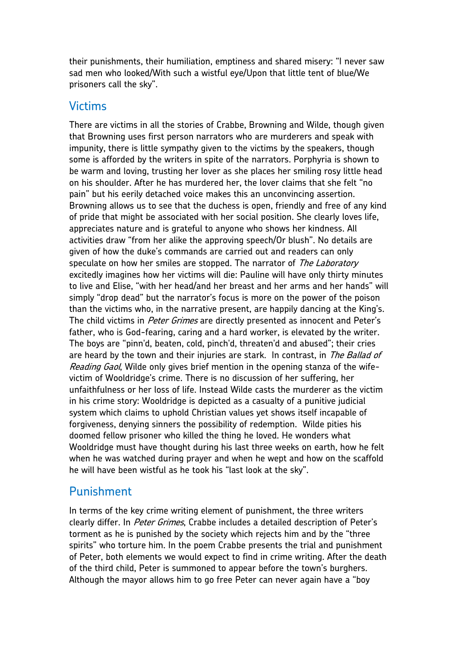their punishments, their humiliation, emptiness and shared misery: "I never saw sad men who looked/With such a wistful eye/Upon that little tent of blue/We prisoners call the sky".

#### Victims

There are victims in all the stories of Crabbe, Browning and Wilde, though given that Browning uses first person narrators who are murderers and speak with impunity, there is little sympathy given to the victims by the speakers, though some is afforded by the writers in spite of the narrators. Porphyria is shown to be warm and loving, trusting her lover as she places her smiling rosy little head on his shoulder. After he has murdered her, the lover claims that she felt "no pain" but his eerily detached voice makes this an unconvincing assertion. Browning allows us to see that the duchess is open, friendly and free of any kind of pride that might be associated with her social position. She clearly loves life, appreciates nature and is grateful to anyone who shows her kindness. All activities draw "from her alike the approving speech/Or blush". No details are given of how the duke's commands are carried out and readers can only speculate on how her smiles are stopped. The narrator of The Laboratory excitedly imagines how her victims will die: Pauline will have only thirty minutes to live and Elise, "with her head/and her breast and her arms and her hands" will simply "drop dead" but the narrator's focus is more on the power of the poison than the victims who, in the narrative present, are happily dancing at the King's. The child victims in *Peter Grimes* are directly presented as innocent and Peter's father, who is God-fearing, caring and a hard worker, is elevated by the writer. The boys are "pinn'd, beaten, cold, pinch'd, threaten'd and abused"; their cries are heard by the town and their injuries are stark. In contrast, in The Ballad of Reading Gaol, Wilde only gives brief mention in the opening stanza of the wifevictim of Wooldridge's crime. There is no discussion of her suffering, her unfaithfulness or her loss of life. Instead Wilde casts the murderer as the victim in his crime story: Wooldridge is depicted as a casualty of a punitive judicial system which claims to uphold Christian values yet shows itself incapable of forgiveness, denying sinners the possibility of redemption. Wilde pities his doomed fellow prisoner who killed the thing he loved. He wonders what Wooldridge must have thought during his last three weeks on earth, how he felt when he was watched during prayer and when he wept and how on the scaffold he will have been wistful as he took his "last look at the sky".

#### Punishment

In terms of the key crime writing element of punishment, the three writers clearly differ. In Peter Grimes, Crabbe includes a detailed description of Peter's torment as he is punished by the society which rejects him and by the "three spirits" who torture him. In the poem Crabbe presents the trial and punishment of Peter, both elements we would expect to find in crime writing. After the death of the third child, Peter is summoned to appear before the town's burghers. Although the mayor allows him to go free Peter can never again have a "boy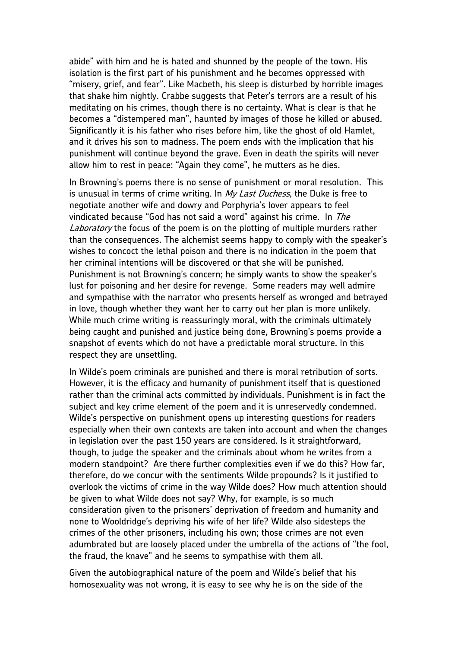abide" with him and he is hated and shunned by the people of the town. His isolation is the first part of his punishment and he becomes oppressed with "misery, grief, and fear". Like Macbeth, his sleep is disturbed by horrible images that shake him nightly. Crabbe suggests that Peter's terrors are a result of his meditating on his crimes, though there is no certainty. What is clear is that he becomes a "distempered man", haunted by images of those he killed or abused. Significantly it is his father who rises before him, like the ghost of old Hamlet, and it drives his son to madness. The poem ends with the implication that his punishment will continue beyond the grave. Even in death the spirits will never allow him to rest in peace: "Again they come", he mutters as he dies.

In Browning's poems there is no sense of punishment or moral resolution. This is unusual in terms of crime writing. In My Last Duchess, the Duke is free to negotiate another wife and dowry and Porphyria's lover appears to feel vindicated because "God has not said a word" against his crime. In The Laboratory the focus of the poem is on the plotting of multiple murders rather than the consequences. The alchemist seems happy to comply with the speaker's wishes to concoct the lethal poison and there is no indication in the poem that her criminal intentions will be discovered or that she will be punished. Punishment is not Browning's concern; he simply wants to show the speaker's lust for poisoning and her desire for revenge. Some readers may well admire and sympathise with the narrator who presents herself as wronged and betrayed in love, though whether they want her to carry out her plan is more unlikely. While much crime writing is reassuringly moral, with the criminals ultimately being caught and punished and justice being done, Browning's poems provide a snapshot of events which do not have a predictable moral structure. In this respect they are unsettling.

In Wilde's poem criminals are punished and there is moral retribution of sorts. However, it is the efficacy and humanity of punishment itself that is questioned rather than the criminal acts committed by individuals. Punishment is in fact the subject and key crime element of the poem and it is unreservedly condemned. Wilde's perspective on punishment opens up interesting questions for readers especially when their own contexts are taken into account and when the changes in legislation over the past 150 years are considered. Is it straightforward, though, to judge the speaker and the criminals about whom he writes from a modern standpoint? Are there further complexities even if we do this? How far, therefore, do we concur with the sentiments Wilde propounds? Is it justified to overlook the victims of crime in the way Wilde does? How much attention should be given to what Wilde does not say? Why, for example, is so much consideration given to the prisoners' deprivation of freedom and humanity and none to Wooldridge's depriving his wife of her life? Wilde also sidesteps the crimes of the other prisoners, including his own; those crimes are not even adumbrated but are loosely placed under the umbrella of the actions of "the fool, the fraud, the knave" and he seems to sympathise with them all.

Given the autobiographical nature of the poem and Wilde's belief that his homosexuality was not wrong, it is easy to see why he is on the side of the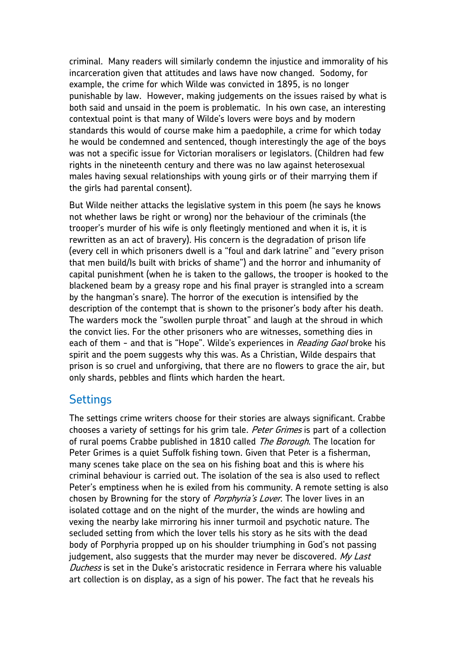criminal. Many readers will similarly condemn the injustice and immorality of his incarceration given that attitudes and laws have now changed. Sodomy, for example, the crime for which Wilde was convicted in 1895, is no longer punishable by law. However, making judgements on the issues raised by what is both said and unsaid in the poem is problematic. In his own case, an interesting contextual point is that many of Wilde's lovers were boys and by modern standards this would of course make him a paedophile, a crime for which today he would be condemned and sentenced, though interestingly the age of the boys was not a specific issue for Victorian moralisers or legislators. (Children had few rights in the nineteenth century and there was no law against heterosexual males having sexual relationships with young girls or of their marrying them if the girls had parental consent).

But Wilde neither attacks the legislative system in this poem (he says he knows not whether laws be right or wrong) nor the behaviour of the criminals (the trooper's murder of his wife is only fleetingly mentioned and when it is, it is rewritten as an act of bravery). His concern is the degradation of prison life (every cell in which prisoners dwell is a "foul and dark latrine" and "every prison that men build/Is built with bricks of shame") and the horror and inhumanity of capital punishment (when he is taken to the gallows, the trooper is hooked to the blackened beam by a greasy rope and his final prayer is strangled into a scream by the hangman's snare). The horror of the execution is intensified by the description of the contempt that is shown to the prisoner's body after his death. The warders mock the "swollen purple throat" and laugh at the shroud in which the convict lies. For the other prisoners who are witnesses, something dies in each of them - and that is "Hope". Wilde's experiences in *Reading Gaol* broke his spirit and the poem suggests why this was. As a Christian, Wilde despairs that prison is so cruel and unforgiving, that there are no flowers to grace the air, but only shards, pebbles and flints which harden the heart.

#### **Settings**

The settings crime writers choose for their stories are always significant. Crabbe chooses a variety of settings for his grim tale. Peter Grimes is part of a collection of rural poems Crabbe published in 1810 called The Borough. The location for Peter Grimes is a quiet Suffolk fishing town. Given that Peter is a fisherman, many scenes take place on the sea on his fishing boat and this is where his criminal behaviour is carried out. The isolation of the sea is also used to reflect Peter's emptiness when he is exiled from his community. A remote setting is also chosen by Browning for the story of *Porphyria's Lover*. The lover lives in an isolated cottage and on the night of the murder, the winds are howling and vexing the nearby lake mirroring his inner turmoil and psychotic nature. The secluded setting from which the lover tells his story as he sits with the dead body of Porphyria propped up on his shoulder triumphing in God's not passing judgement, also suggests that the murder may never be discovered.  $M_V$  Last Duchess is set in the Duke's aristocratic residence in Ferrara where his valuable art collection is on display, as a sign of his power. The fact that he reveals his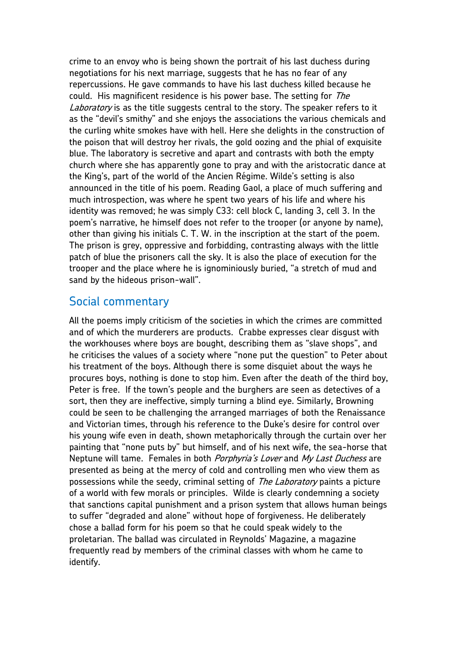crime to an envoy who is being shown the portrait of his last duchess during negotiations for his next marriage, suggests that he has no fear of any repercussions. He gave commands to have his last duchess killed because he could. His magnificent residence is his power base. The setting for The Laboratory is as the title suggests central to the story. The speaker refers to it as the "devil's smithy" and she enjoys the associations the various chemicals and the curling white smokes have with hell. Here she delights in the construction of the poison that will destroy her rivals, the gold oozing and the phial of exquisite blue. The laboratory is secretive and apart and contrasts with both the empty church where she has apparently gone to pray and with the aristocratic dance at the King's, part of the world of the Ancien Régime. Wilde's setting is also announced in the title of his poem. Reading Gaol, a place of much suffering and much introspection, was where he spent two years of his life and where his identity was removed; he was simply C33: cell block C, landing 3, cell 3. In the poem's narrative, he himself does not refer to the trooper (or anyone by name), other than giving his initials C. T. W. in the inscription at the start of the poem. The prison is grey, oppressive and forbidding, contrasting always with the little patch of blue the prisoners call the sky. It is also the place of execution for the trooper and the place where he is ignominiously buried, "a stretch of mud and sand by the hideous prison-wall".

#### Social commentary

All the poems imply criticism of the societies in which the crimes are committed and of which the murderers are products. Crabbe expresses clear disgust with the workhouses where boys are bought, describing them as "slave shops", and he criticises the values of a society where "none put the question" to Peter about his treatment of the boys. Although there is some disquiet about the ways he procures boys, nothing is done to stop him. Even after the death of the third boy, Peter is free. If the town's people and the burghers are seen as detectives of a sort, then they are ineffective, simply turning a blind eye. Similarly, Browning could be seen to be challenging the arranged marriages of both the Renaissance and Victorian times, through his reference to the Duke's desire for control over his young wife even in death, shown metaphorically through the curtain over her painting that "none puts by" but himself, and of his next wife, the sea-horse that Neptune will tame. Females in both *Porphyria's Lover* and My Last Duchess are presented as being at the mercy of cold and controlling men who view them as possessions while the seedy, criminal setting of *The Laboratory* paints a picture of a world with few morals or principles. Wilde is clearly condemning a society that sanctions capital punishment and a prison system that allows human beings to suffer "degraded and alone" without hope of forgiveness. He deliberately chose a ballad form for his poem so that he could speak widely to the proletarian. The ballad was circulated in Reynolds' Magazine, a magazine frequently read by members of the criminal classes with whom he came to identify.